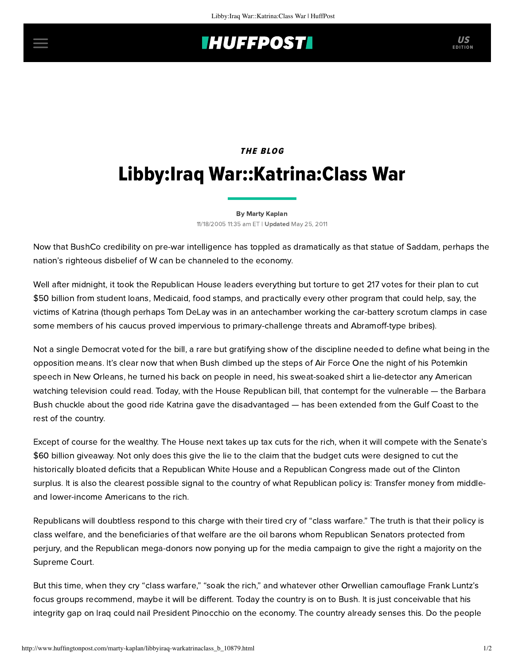## **INUFFPOSTI** US

# THE BLOG Libby:Iraq War::Katrina:Class War

#### [By Marty Kaplan](http://www.huffingtonpost.com/author/marty-kaplan)

11/18/2005 11:35 am ET | Updated May 25, 2011

Now that BushCo credibility on pre-war intelligence has toppled as dramatically as that statue of Saddam, perhaps the nation's righteous disbelief of W can be channeled to the economy.

Well after midnight, it took the Republican House leaders everything but torture to get 217 votes for their plan to cut \$50 billion from student loans, Medicaid, food stamps, and practically every other program that could help, say, the victims of Katrina (though perhaps Tom DeLay was in an antechamber working the car-battery scrotum clamps in case some members of his caucus proved impervious to primary-challenge threats and Abramoff-type bribes).

Not a single Democrat voted for the bill, a rare but gratifying show of the discipline needed to define what being in the opposition means. It's clear now that when Bush climbed up the steps of Air Force One the night of his Potemkin speech in New Orleans, he turned his back on people in need, his sweat-soaked shirt a lie-detector any American watching television could read. Today, with the House Republican bill, that contempt for the vulnerable — the Barbara Bush chuckle about the good ride Katrina gave the disadvantaged — has been extended from the Gulf Coast to the rest of the country.

Except of course for the wealthy. The House next takes up tax cuts for the rich, when it will compete with the Senate's \$60 billion giveaway. Not only does this give the lie to the claim that the budget cuts were designed to cut the historically bloated deficits that a Republican White House and a Republican Congress made out of the Clinton surplus. It is also the clearest possible signal to the country of what Republican policy is: Transfer money from middleand lower-income Americans to the rich.

Republicans will doubtless respond to this charge with their tired cry of "class warfare." The truth is that their policy is class welfare, and the beneficiaries of that welfare are the oil barons whom Republican Senators protected from perjury, and the Republican mega-donors now ponying up for the media campaign to give the right a majority on the Supreme Court.

But this time, when they cry "class warfare," "soak the rich," and whatever other Orwellian camouflage Frank Luntz's focus groups recommend, maybe it will be different. Today the country is on to Bush. It is just conceivable that his integrity gap on Iraq could nail President Pinocchio on the economy. The country already senses this. Do the people